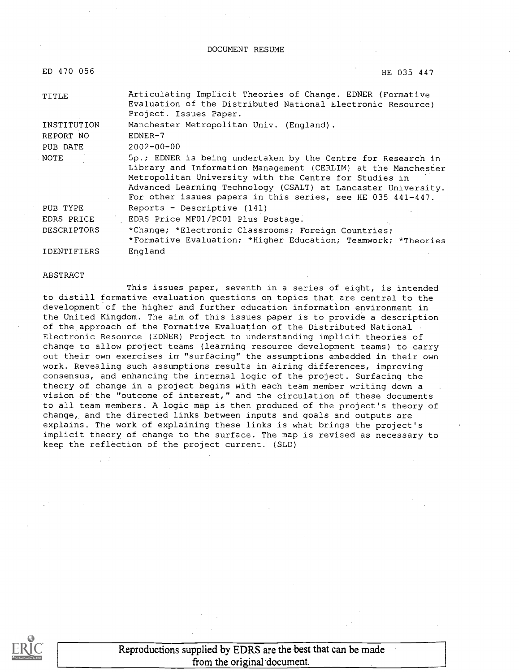DOCUMENT RESUME

| ED 470 056         | HE 035 447                                                                                                                                                                                                                                                                                                              |
|--------------------|-------------------------------------------------------------------------------------------------------------------------------------------------------------------------------------------------------------------------------------------------------------------------------------------------------------------------|
| TITLE              | Articulating Implicit Theories of Change. EDNER (Formative<br>Evaluation of the Distributed National Electronic Resource)<br>Project. Issues Paper.                                                                                                                                                                     |
| INSTITUTION        | Manchester Metropolitan Univ. (England).                                                                                                                                                                                                                                                                                |
| REPORT NO          | $EDNER-7$                                                                                                                                                                                                                                                                                                               |
| PUB DATE           | $2002 - 00 - 00$                                                                                                                                                                                                                                                                                                        |
| NOTE               | 5p.; EDNER is being undertaken by the Centre for Research in<br>Library and Information Management (CERLIM) at the Manchester<br>Metropolitan University with the Centre for Studies in<br>Advanced Learning Technology (CSALT) at Lancaster University.<br>For other issues papers in this series, see HE 035 441-447. |
| PUB TYPE           | Reports - Descriptive (141)                                                                                                                                                                                                                                                                                             |
| EDRS PRICE         | EDRS Price MF01/PC01 Plus Postage.                                                                                                                                                                                                                                                                                      |
| <b>DESCRIPTORS</b> | *Change; *Electronic Classrooms; Foreign Countries;<br>*Formative Evaluation; *Higher Education; Teamwork; *Theories                                                                                                                                                                                                    |
| <b>IDENTIFIERS</b> | England                                                                                                                                                                                                                                                                                                                 |

#### ABSTRACT

This issues paper, seventh in a series of eight, is intended to distill formative evaluation questions on topics that are central to the development of the higher and further education information environment in the United Kingdom. The aim of this issues paper is to provide a description of the approach of the Formative Evaluation of the Distributed National Electronic Resource (EDNER) Project to understanding implicit theories of change to allow project teams (learning resource development teams) to carry out their own exercises in "surfacing" the assumptions embedded in their own work. Revealing such assumptions results in airing differences, improving consensus, and enhancing the internal logic of the project. Surfacing the theory of change in a project begins with each team member writing down a vision of the "outcome of interest," and the circulation of these documents to all team members. A logic map is then produced of the project's theory of change, and the directed links between inputs and goals and outputs are explains. The work of explaining these links is what brings the project's implicit theory of change to the surface. The map is revised as necessary to keep the reflection of the project current. (SLD)



Reproductions supplied by EDRS are the best that can be made from the original document.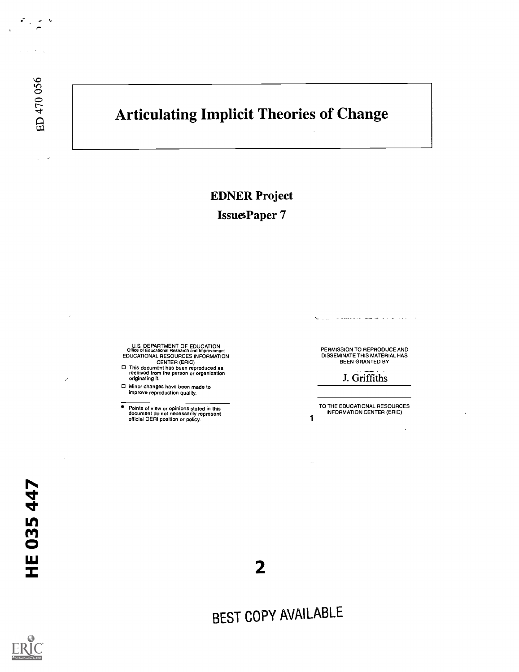$\tau_{\rm eff}$  ,  $\omega$ 

 $\frac{1}{2}$  ,  $\frac{1}{2}$ 

 $\mathcal{A}=\mathcal{A}$ 

## Articulating Implicit Theories of Change

EDNER Project

IssuesPaper 7

U.S. DEPARTMENT OF EDUCATION<br>Office of Educational Research and Improvement<br>EDUCATIONAL RESOURCES INFORMATION

- CENTER (ERIC) This document has been reproduced as received from the person or organization originating it.
- Minor changes have been made to improve reproduction quality.

Points of view or opinions stated in this document do not necessarily represent official OERI position or policy.

PERMISSION TO REPRODUCE AND DISSEMINATE THIS MATERIAL HAS BEEN GRANTED BY

a proposa como o caractera

J. Griffiths

TO THE EDUCATIONAL RESOURCES INFORMATION CENTER (ERIC)

1

 $\overline{\phantom{a}}$ 

2

BEST COPY AVAILABLE

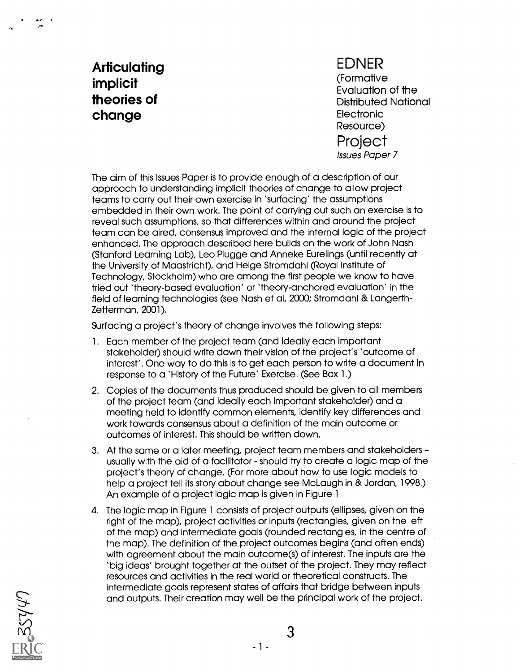## **Articulating** implicit theories of change

EDNER (Formative Evaluation of the Distributed National Electronic Resource) **Project** Issues Paper 7

The aim of this Issues Paper is to provide enough of a description of our approach to understanding implicit theories of change to allow project teams to carry out their own exercise in 'surfacing' the assumptions embedded in their own work. The point of carrying out such an exercise is to reveal such assumptions, so that differences within and around the project team can be aired, consensus improved and the internal logic of the project enhanced. The approach described here builds on the work of John Nash (Stanford Learning Lab), Leo Plugge and Anneke Eurelings (until recently at the University of Maastricht), and Helge Stromdahl (Royal Institute of Technology, Stockholm) who are among the first people we know to have tried out 'theory-based evaluation' or 'theory-anchored evaluation' in the field of learning technologies (see Nash et al, 2000; Stromdahl & Langerth-Zetterman, 2001).

Surfacing a project's theory of change involves the following steps:

- 1. Each member of the project team (and ideally each important stakeholder) should write down their vision of the project's 'outcome of interest'. One way to do this is to get each person to write a document in response to a 'History of the Future' Exercise. (See Box 1.)
- 2. Copies of the documents thus produced should be given to all members of the project team (and ideally each important stakeholder) and a meeting held to identify common elements, identify key differences and work towards consensus about a definition of the main outcome or outcomes of interest. This should be written down.
- 3. At the same or a later meeting, project team members and stakeholders usually with the aid of a facilitator - should try to create a logic map of the project's theory of change. (For more about how to use logic models to help a project tell its story about change see McLaughlin & Jordan, 1998.) An example of a project logic map is given in Figure 1
- 4. The logic map in Figure 1 consists of project outputs (ellipses, given on the right of the map), project activities or inputs (rectangles, given on the left of the map) and intermediate goals (rounded rectangles, in the centre of the map). The definition of the project outcomes begins (and often ends) with agreement about the main outcome(s) of interest. The inputs are the 'big ideas' brought together at the outset of the project. They may reflect resources and activities in the real world or theoretical constructs. The intermediate goals represent states of affairs that bridge between inputs and outputs. Their creation may well be the principal work of the project.

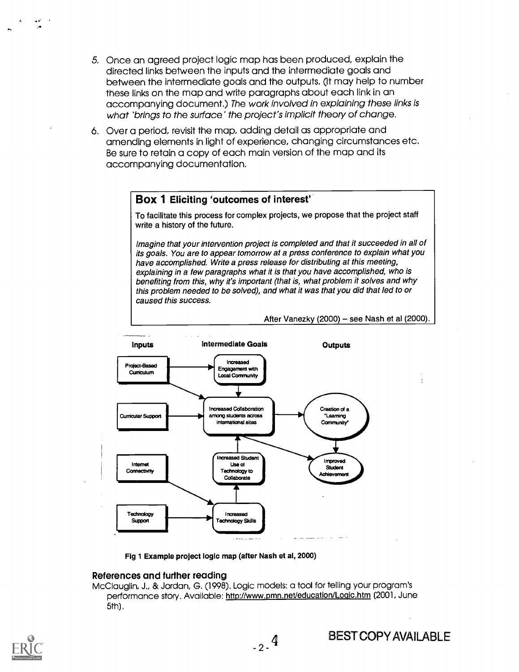- 5. Once an agreed project logic map has been produced, explain the directed links between the inputs and the intermediate goals and between the intermediate goals and the outputs. (It may help to number these links on the map and write paragraphs about each link in an accompanying document.) The work involved in explaining these links is what 'brings to the surface' the project's implicit theory of change.
- 6. Over a period, revisit the map, adding detail as appropriate and amending elements in light of experience, changing circumstances etc. Be sure to retain a copy of each main version of the map and its accompanying documentation.

### Box 1 Eliciting 'outcomes of interest'

To facilitate this process for complex projects, we propose that the project staff write a history of the future.

Imagine that your intervention project is completed and that it succeeded in all of its goals. You are to appear tomorrow at a press conference to explain what you have accomplished. Write a press release for distributing at this meeting, explaining in a few paragraphs what it is that you have accomplished, who is benefiting from this, why it's important (that is, what problem it solves and why this problem needed to be solved), and what it was that you did that led to or caused this success.

After Vanezky (2000) - see Nash et al  $(2000)$ .



Fig 1 Example project logic map (after Nash et al, 2000)

### References and further reading

McClauglin, J., & Jordan, G. (1998). Logic models: a tool for telling your program's performance story. Available: http://www.pmn.net/education/Logic.htm (2001, June 5th).

 $-2 - 4$ 

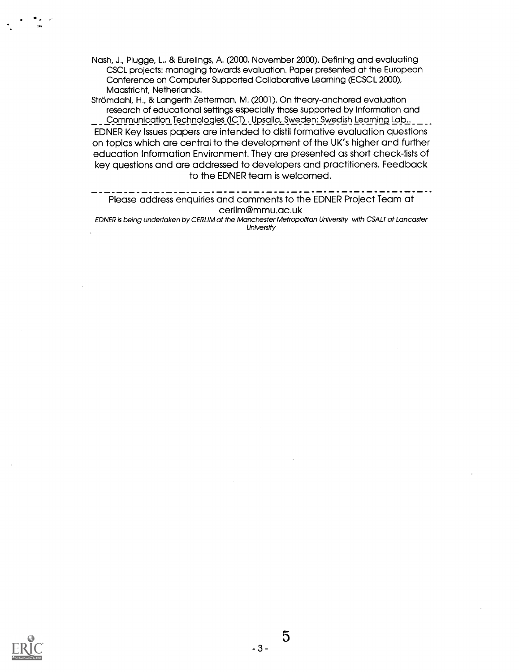Nash, J., Plugge, L., & Eurelings, A. (2000, November 2000). Defining and evaluating CSCL projects: managing towards evaluation. Paper presented at the European Conference on Computer Supported Collaborative Learning (ECSCL 2000), Maastricht, Netherlands.

Strömdahl, H., & Langerth Zetterman, M. (2001). On theory-anchored evaluation research of educational settings especially those supported by Information and Communication Technologies (ICT). Upsalla, Sweden: Swedish Learning Lab... \_ \_ \_ . EDNER Key Issues papers are intended to distil formative evaluation questions on topics which are central to the development of the UK's higher and further education Information Environment. They are presented as short check-lists of key questions and are addressed to developers and practitioners. Feedback to the EDNER team is welcomed.

Please address enquiries and comments to the EDNER Project Team at cerlim@mmu.ac.uk

EDNER is being undertaken by CERLIM at the Manchester Metropolitan University with CSALT at Lancaster University